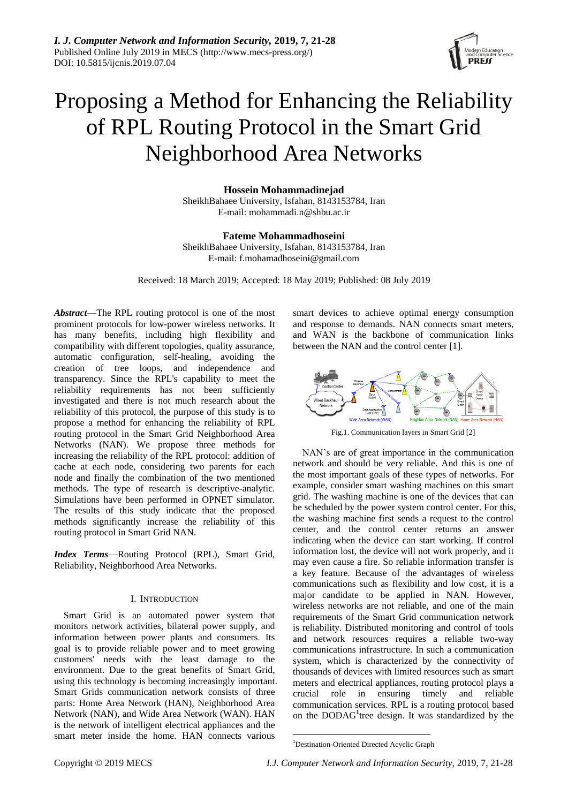

# Proposing a Method for Enhancing the Reliability of RPL Routing Protocol in the [Smart Grid](https://ieeexplore.ieee.org/abstract/document/6724103/)  [Neighborhood Area Networks](https://ieeexplore.ieee.org/abstract/document/6724103/)

**Hossein Mohammadinejad** SheikhBahaee University, Isfahan, 8143153784, Iran E-mail: mohammadi.n@shbu.ac.ir

**Fateme Mohammadhoseini** SheikhBahaee University, Isfahan, 8143153784, Iran E-mail: f.mohamadhoseini@gmail.com

Received: 18 March 2019; Accepted: 18 May 2019; Published: 08 July 2019

*Abstract*—The RPL routing protocol is one of the most prominent protocols for low-power wireless networks. It has many benefits, including high flexibility and compatibility with different topologies, quality assurance, automatic configuration, self-healing, avoiding the creation of tree loops, and independence and transparency. Since the RPL's capability to meet the reliability requirements has not been sufficiently investigated and there is not much research about the reliability of this protocol, the purpose of this study is to propose a method for enhancing the reliability of RPL routing protocol in the [Smart Grid Neighborhood Area](https://ieeexplore.ieee.org/abstract/document/6724103/)  [Networks](https://ieeexplore.ieee.org/abstract/document/6724103/) (NAN). We propose three methods for increasing the reliability of the RPL protocol: addition of cache at each node, considering two parents for each node and finally the combination of the two mentioned methods. The type of research is descriptive-analytic. Simulations have been performed in OPNET simulator. The results of this study indicate that the proposed methods significantly increase the reliability of this routing protocol in Smart Grid NAN.

*Index Terms*—Routing Protocol (RPL), Smart Grid, Reliability, Neighborhood Area Networks.

## I. INTRODUCTION

Smart Grid is an automated power system that monitors network activities, bilateral power supply, and information between power plants and consumers. Its goal is to provide reliable power and to meet growing customers' needs with the least damage to the environment. Due to the great benefits of Smart Grid, using this technology is becoming increasingly important. Smart Grids communication network consists of three parts: Home Area Network (HAN), Neighborhood Area Network (NAN), and Wide Area Network (WAN). HAN is the network of intelligent electrical appliances and the smart meter inside the home. HAN connects various

smart devices to achieve optimal energy consumption and response to demands. NAN connects smart meters, and WAN is the backbone of communication links between the NAN and the control center [1].



Fig.1. Communication layers in Smart Grid [2]

NAN's are of great importance in the communication network and should be very reliable. And this is one of the most important goals of these types of networks. For example, consider smart washing machines on this smart grid. The washing machine is one of the devices that can be scheduled by the power system control center. For this, the washing machine first sends a request to the control center, and the control center returns an answer indicating when the device can start working. If control information lost, the device will not work properly, and it may even cause a fire. So reliable information transfer is a key feature. Because of the advantages of wireless communications such as flexibility and low cost, it is a major candidate to be applied in NAN. However, wireless networks are not reliable, and one of the main requirements of the [Smart Grid c](http://scholar.google.nl/scholar?q=smart+grid+distribution&hl=en&as_sdt=0&as_vis=1&oi=scholart)ommunication network is reliability. Distributed monitoring and control of tools and network resources requires a reliable two-way communications infrastructure. In such a communication system, which is characterized by the connectivity of thousands of devices with limited resources such as smart meters and electrical appliances, routing protocol plays a crucial role in ensuring timely and reliable communication services. RPL is a routing protocol based on the DODAG<sup>1</sup> tree design. It was standardized by the

<sup>1</sup> <sup>1</sup>Destination-Oriented Directed Acyclic Graph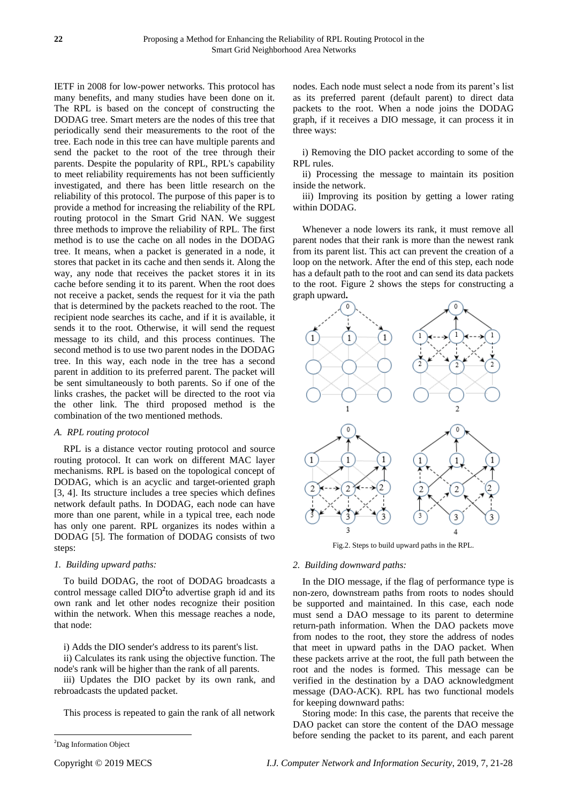IETF in 2008 for low-power networks. This protocol has many benefits, and many studies have been done on it. The RPL is based on the concept of constructing the DODAG tree. Smart meters are the nodes of this tree that periodically send their measurements to the root of the tree. Each node in this tree can have multiple parents and send the packet to the root of the tree through their parents. Despite the popularity of RPL, RPL's capability to meet reliability requirements has not been sufficiently investigated, and there has been little research on the reliability of this protocol. The purpose of this paper is to provide a method for increasing the reliability of the RPL routing protocol in the Smart Grid NAN. We suggest three methods to improve the reliability of RPL. The first method is to use the cache on all nodes in the DODAG tree. It means, when a packet is generated in a node, it stores that packet in its cache and then sends it. Along the way, any node that receives the packet stores it in its cache before sending it to its parent. When the root does not receive a packet, sends the request for it via the path that is determined by the packets reached to the root. The recipient node searches its cache, and if it is available, it sends it to the root. Otherwise, it will send the request message to its child, and this process continues. The second method is to use two parent nodes in the DODAG tree. In this way, each node in the tree has a second parent in addition to its preferred parent. The packet will be sent simultaneously to both parents. So if one of the links crashes, the packet will be directed to the root via the other link. The third proposed method is the combination of the two mentioned methods.

## *A. RPL routing protocol*

RPL is a distance vector routing protocol and source routing protocol. It can work on different MAC layer mechanisms. RPL is based on the topological concept of DODAG, which is an acyclic and target-oriented graph [3, 4]. Its structure includes a tree species which defines network default paths. In DODAG, each node can have more than one parent, while in a typical tree, each node has only one parent. RPL organizes its nodes within a DODAG [5]. The formation of DODAG consists of two steps:

# *1. Building upward paths:*

To build DODAG, the root of DODAG broadcasts a control message called DIO**<sup>2</sup>** to advertise graph id and its own rank and let other nodes recognize their position within the network. When this message reaches a node, that node:

i) Adds the DIO sender's address to its parent's list.

ii) Calculates its rank using the objective function. The node's rank will be higher than the rank of all parents.

iii) Updates the DIO packet by its own rank, and rebroadcasts the updated packet.

This process is repeated to gain the rank of all network

 $\overline{\phantom{a}}$ 

nodes. Each node must select a node from its parent's list as its preferred parent (default parent) to direct data packets to the root. When a node joins the DODAG graph, if it receives a DIO message, it can process it in three ways:

i) Removing the DIO packet according to some of the RPL rules.

ii) Processing the message to maintain its position inside the network.

iii) Improving its position by getting a lower rating within DODAG.

Whenever a node lowers its rank, it must remove all parent nodes that their rank is more than the newest rank from its parent list. This act can prevent the creation of a loop on the network. After the end of this step, each node has a default path to the root and can send its data packets to the root. Figure 2 shows the steps for constructing a graph upward**.**



Fig.2. Steps to build upward paths in the RPL.

## *2. Building downward paths:*

In the DIO message, if the flag of performance type is non-zero, downstream paths from roots to nodes should be supported and maintained. In this case, each node must send a DAO message to its parent to determine return-path information. When the DAO packets move from nodes to the root, they store the address of nodes that meet in upward paths in the DAO packet. When these packets arrive at the root, the full path between the root and the nodes is formed. This message can be verified in the destination by a DAO acknowledgment message (DAO-ACK). RPL has two functional models for keeping downward paths:

Storing mode: In this case, the parents that receive the DAO packet can store the content of the DAO message before sending the packet to its parent, and each parent

<sup>&</sup>lt;sup>2</sup>Dag Information Object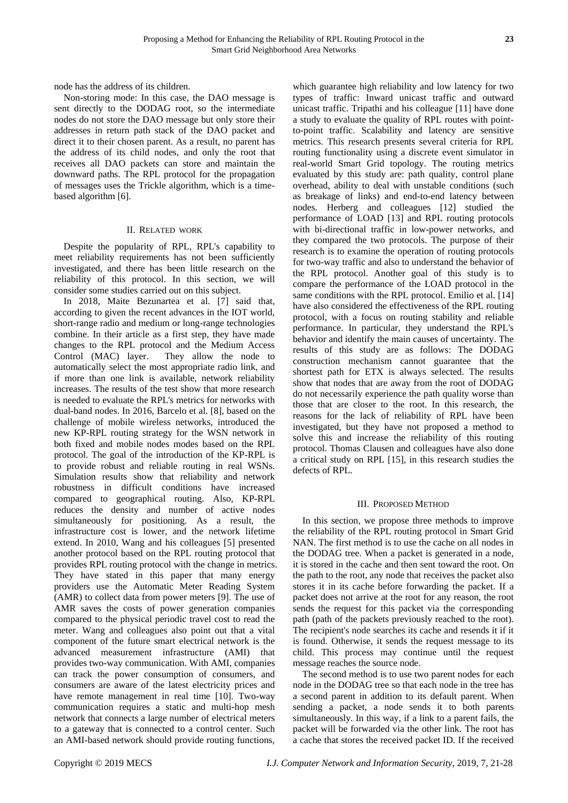node has the address of its children.

Non-storing mode: In this case, the DAO message is sent directly to the DODAG root, so the intermediate nodes do not store the DAO message but only store their addresses in return path stack of the DAO packet and direct it to their chosen parent. As a result, no parent has the address of its child nodes, and only the root that receives all DAO packets can store and maintain the downward paths. The RPL protocol for the propagation of messages uses the Trickle algorithm, which is a timebased algorithm [6].

## II. RELATED WORK

Despite the popularity of RPL, RPL's capability to meet reliability requirements has not been sufficiently investigated, and there has been little research on the reliability of this protocol. In this section, we will consider some studies carried out on this subject.

In 2018, Maite Bezunartea et al. [7] said that, according to given the recent advances in the IOT world, short-range radio and medium or long-range technologies combine. In their article as a first step, they have made changes to the RPL protocol and the Medium Access Control (MAC) layer. They allow the node to automatically select the most appropriate radio link, and if more than one link is available, network reliability increases. The results of the test show that more research is needed to evaluate the RPL's metrics for networks with dual-band nodes. In 2016, Barcelo et al. [8], based on the challenge of mobile wireless networks, introduced the new KP-RPL routing strategy for the WSN network in both fixed and mobile nodes modes based on the RPL protocol. The goal of the introduction of the KP-RPL is to provide robust and reliable routing in real WSNs. Simulation results show that reliability and network robustness in difficult conditions have increased compared to geographical routing. Also, KP-RPL reduces the density and number of active nodes simultaneously for positioning. As a result, the infrastructure cost is lower, and the network lifetime extend. In 2010, Wang and his colleagues [5] presented another protocol based on the RPL routing protocol that provides RPL routing protocol with the change in metrics. They have stated in this paper that many energy providers use the Automatic Meter Reading System (AMR) to collect data from power meters [9]. The use of AMR saves the costs of power generation companies compared to the physical periodic travel cost to read the meter. Wang and colleagues also point out that a vital component of the future smart electrical network is the advanced measurement infrastructure (AMI) that provides two-way communication. With AMI, companies can track the power consumption of consumers, and consumers are aware of the latest electricity prices and have remote management in real time [10]. Two-way communication requires a static and multi-hop mesh network that connects a large number of electrical meters to a gateway that is connected to a control center. Such an AMI-based network should provide routing functions,

which guarantee high reliability and low latency for two types of traffic: Inward unicast traffic and outward unicast traffic. Tripathi and his colleague [11] have done a study to evaluate the quality of RPL routes with pointto-point traffic. Scalability and latency are sensitive metrics. This research presents several criteria for RPL routing functionality using a discrete event simulator in real-world Smart Grid topology. The routing metrics evaluated by this study are: path quality, control plane overhead, ability to deal with unstable conditions (such as breakage of links) and end-to-end latency between nodes. Herberg and colleagues [12] studied the performance of LOAD [13] and RPL routing protocols with bi-directional traffic in low-power networks, and they compared the two protocols. The purpose of their research is to examine the operation of routing protocols for two-way traffic and also to understand the behavior of the RPL protocol. Another goal of this study is to compare the performance of the LOAD protocol in the same conditions with the RPL protocol. Emilio et al. [14] have also considered the effectiveness of the RPL routing protocol, with a focus on routing stability and reliable performance. In particular, they understand the RPL's behavior and identify the main causes of uncertainty. The results of this study are as follows: The DODAG construction mechanism cannot guarantee that the shortest path for ETX is always selected. The results show that nodes that are away from the root of DODAG do not necessarily experience the path quality worse than those that are closer to the root. In this research, the reasons for the lack of reliability of RPL have been investigated, but they have not proposed a method to solve this and increase the reliability of this routing protocol. Thomas Clausen and colleagues have also done a critical study on RPL [15], in this research studies the defects of RPL.

#### III. PROPOSED METHOD

In this section, we propose three methods to improve the reliability of the RPL routing protocol in Smart Grid NAN. The first method is to use the cache on all nodes in the DODAG tree. When a packet is generated in a node, it is stored in the cache and then sent toward the root. On the path to the root, any node that receives the packet also stores it in its cache before forwarding the packet. If a packet does not arrive at the root for any reason, the root sends the request for this packet via the corresponding path (path of the packets previously reached to the root). The recipient's node searches its cache and resends it if it is found. Otherwise, it sends the request message to its child. This process may continue until the request message reaches the source node.

The second method is to use two parent nodes for each node in the DODAG tree so that each node in the tree has a second parent in addition to its default parent. When sending a packet, a node sends it to both parents simultaneously. In this way, if a link to a parent fails, the packet will be forwarded via the other link. The root has a cache that stores the received packet ID. If the received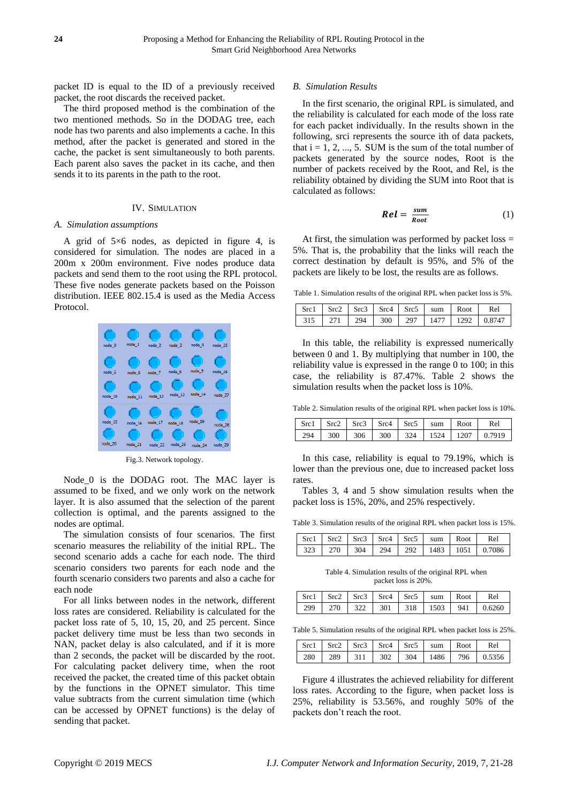packet ID is equal to the ID of a previously received packet, the root discards the received packet.

The third proposed method is the combination of the two mentioned methods. So in the DODAG tree, each node has two parents and also implements a cache. In this method, after the packet is generated and stored in the cache, the packet is sent simultaneously to both parents. Each parent also saves the packet in its cache, and then sends it to its parents in the path to the root.

#### IV. SIMULATION

## *A. Simulation assumptions*

A grid of 5×6 nodes, as depicted in figure 4, is considered for simulation. The nodes are placed in a 200m x 200m environment. Five nodes produce data packets and send them to the root using the RPL protocol. These five nodes generate packets based on the Poisson distribution. IEEE 802.15.4 is used as the Media Access Protocol.



Fig.3. Network topology.

Node 0 is the DODAG root. The MAC layer is assumed to be fixed, and we only work on the network layer. It is also assumed that the selection of the parent collection is optimal, and the parents assigned to the nodes are optimal.

The simulation consists of four scenarios. The first scenario measures the reliability of the initial RPL. The second scenario adds a cache for each node. The third scenario considers two parents for each node and the fourth scenario considers two parents and also a cache for each node

For all links between nodes in the network, different loss rates are considered. Reliability is calculated for the packet loss rate of 5, 10, 15, 20, and 25 percent. Since packet delivery time must be less than two seconds in NAN, packet delay is also calculated, and if it is more than 2 seconds, the packet will be discarded by the root. For calculating packet delivery time, when the root received the packet, the created time of this packet obtain by the functions in the OPNET simulator. This time value subtracts from the current simulation time (which can be accessed by OPNET functions) is the delay of sending that packet.

#### *B. Simulation Results*

In the first scenario, the original RPL is simulated, and the reliability is calculated for each mode of the loss rate for each packet individually. In the results shown in the following, srci represents the source ith of data packets, that  $i = 1, 2, ..., 5$ . SUM is the sum of the total number of packets generated by the source nodes, Root is the number of packets received by the Root, and Rel, is the reliability obtained by dividing the SUM into Root that is calculated as follows:

$$
Rel = \frac{sum}{Root} \tag{1}
$$

At first, the simulation was performed by packet  $loss =$ 5%. That is, the probability that the links will reach the correct destination by default is 95%, and 5% of the packets are likely to be lost, the results are as follows.

Table 1. Simulation results of the original RPL when packet loss is 5%.

|  |  |  | Src1   Src2   Src3   Src4   Src5   sum   Root | Rel                                                |
|--|--|--|-----------------------------------------------|----------------------------------------------------|
|  |  |  |                                               | 315   271   294   300   297   1477   1292   0.8747 |

In this table, the reliability is expressed numerically between 0 and 1. By multiplying that number in 100, the reliability value is expressed in the range 0 to 100; in this case, the reliability is 87.47%. Table 2 shows the simulation results when the packet loss is 10%.

Table 2. Simulation results of the original RPL when packet loss is 10%.

|     |  |  | Src1   Src2   Src3   Src4   Src5   sum   Root | Rel                                                                                                                  |
|-----|--|--|-----------------------------------------------|----------------------------------------------------------------------------------------------------------------------|
| 294 |  |  |                                               | $\parallel$ 300 $\parallel$ 306 $\parallel$ 300 $\parallel$ 324 $\parallel$ 1524 $\parallel$ 1207 $\parallel$ 0.7919 |

In this case, reliability is equal to 79.19%, which is lower than the previous one, due to increased packet loss rates.

Tables 3, 4 and 5 show simulation results when the packet loss is 15%, 20%, and 25% respectively.

Table 3. Simulation results of the original RPL when packet loss is 15%.

|  |  | $\vert$ Src1 $\vert$ Src2 $\vert$ Src3 $\vert$ Src4 $\vert$ Src5 $\vert$ sum $\vert$ Root $\vert$ Re1 |                                                    |
|--|--|-------------------------------------------------------------------------------------------------------|----------------------------------------------------|
|  |  |                                                                                                       | 323   270   304   294   292   1483   1051   0.7086 |

Table 4. Simulation results of the original RPL when packet loss is 20%.

|  |  | Src1 Src2 Src3 Src4 Src5 sum Root | Rel                                 |
|--|--|-----------------------------------|-------------------------------------|
|  |  |                                   | 299 270 322 301 318 1503 941 0.6260 |

Table 5. Simulation results of the original RPL when packet loss is 25%.

|  |  | $\vert$ Src1 $\vert$ Src2 $\vert$ Src3 $\vert$ Src4 $\vert$ Src5 $\vert$ sum $\vert$ Root $\vert$ | Rel                                               |
|--|--|---------------------------------------------------------------------------------------------------|---------------------------------------------------|
|  |  |                                                                                                   | 280   289   311   302   304   1486   796   0.5356 |

Figure 4 illustrates the achieved reliability for different loss rates. According to the figure, when packet loss is 25%, reliability is 53.56%, and roughly 50% of the packets don't reach the root.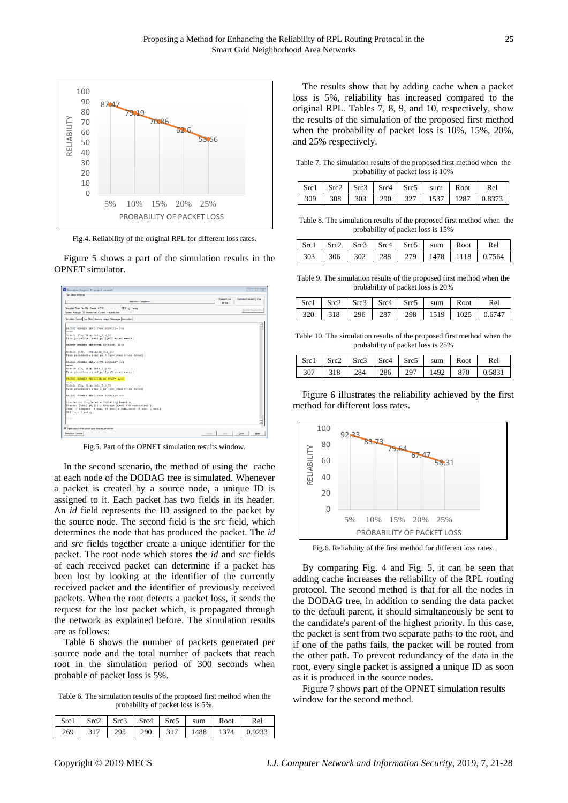

Fig.4. Reliability of the original RPL for different loss rates.

Figure 5 shows a part of the simulation results in the OPNET simulator.



Fig.5. Part of the OPNET simulation results window.

In the second scenario, the method of using the cache at each node of the DODAG tree is simulated. Whenever a packet is created by a source node, a unique ID is assigned to it. Each packet has two fields in its header. An *id* field represents the ID assigned to the packet by the source node. The second field is the *src* field, which determines the node that has produced the packet. The *id* and *src* fields together create a unique identifier for the packet. The root node which stores the *id* and *src* fields of each received packet can determine if a packet has been lost by looking at the identifier of the currently received packet and the identifier of previously received packets. When the root detects a packet loss, it sends the request for the lost packet which, is propagated through the network as explained before. The simulation results are as follows:

Table 6 shows the number of packets generated per source node and the total number of packets that reach root in the simulation period of 300 seconds when probable of packet loss is 5%.

Table 6. The simulation results of the proposed first method when the probability of packet loss is 5%.

|  |  | $\vert$ Src1 $\vert$ Src2 $\vert$ Src3 $\vert$ Src4 $\vert$ Src5 $\vert$ sum $\vert$ Root | Rel                                                |
|--|--|-------------------------------------------------------------------------------------------|----------------------------------------------------|
|  |  |                                                                                           | 269   317   295   290   317   1488   1374   0.9233 |

The results show that by adding cache when a packet loss is 5%, reliability has increased compared to the original RPL. Tables 7, 8, 9, and 10, respectively, show the results of the simulation of the proposed first method when the probability of packet loss is 10%, 15%, 20%, and 25% respectively.

Table 7. The simulation results of the proposed first method when the probability of packet loss is 10%

|  |  |  | Src1 Src2 Src3 Src4 Src5 sum Root Rel |                                      |
|--|--|--|---------------------------------------|--------------------------------------|
|  |  |  |                                       | 309 308 303 290 327 1537 1287 0.8373 |

Table 8. The simulation results of the proposed first method when the probability of packet loss is 15%

|  |  | Src1 Src2 Src3 Src4 Src5 sum Root Rel |                                      |
|--|--|---------------------------------------|--------------------------------------|
|  |  |                                       | 303 306 302 288 279 1478 1118 0.7564 |

Table 9. The simulation results of the proposed first method when the probability of packet loss is 20%

|  |  |  | $\vert$ Src1 $\vert$ Src2 $\vert$ Src3 $\vert$ Src4 $\vert$ Src5 $\vert$ sum $\vert$ Root $\vert$ | Rel                                                |
|--|--|--|---------------------------------------------------------------------------------------------------|----------------------------------------------------|
|  |  |  |                                                                                                   | 320   318   296   287   298   1519   1025   0.6747 |

Table 10. The simulation results of the proposed first method when the probability of packet loss is 25%

|  |  | Src1   Src2   Src3   Src4   Src5   sum   Root | Rel |
|--|--|-----------------------------------------------|-----|
|  |  |                                               |     |

Figure 6 illustrates the reliability achieved by the first method for different loss rates.



Fig.6. Reliability of the first method for different loss rates.

By comparing Fig. 4 and Fig. 5, it can be seen that adding cache increases the reliability of the RPL routing protocol. The second method is that for all the nodes in the DODAG tree, in addition to sending the data packet to the default parent, it should simultaneously be sent to the candidate's parent of the highest priority. In this case, the packet is sent from two separate paths to the root, and if one of the paths fails, the packet will be routed from the other path. To prevent redundancy of the data in the root, every single packet is assigned a unique ID as soon as it is produced in the source nodes.

Figure 7 shows part of the OPNET simulation results window for the second method.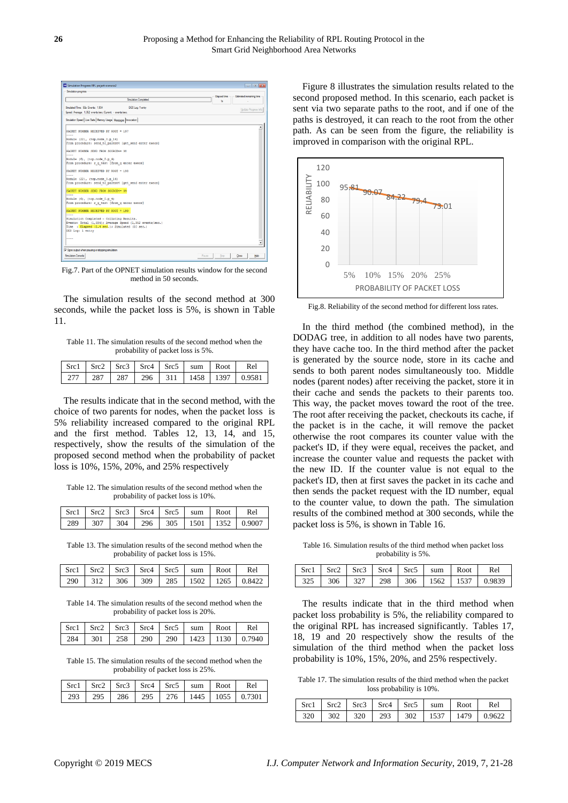

Fig.7. Part of the OPNET simulation results window for the second method in 50 seconds.

The simulation results of the second method at 300 seconds, while the packet loss is 5%, is shown in Table 11.

Table 11. The simulation results of the second method when the probability of packet loss is 5%.

|  |  |  | Src1 Src2 Src3 Src4 Src5 sum Root Rel |  |
|--|--|--|---------------------------------------|--|
|  |  |  |                                       |  |

The results indicate that in the second method, with the choice of two parents for nodes, when the packet loss is 5% reliability increased compared to the original RPL and the first method. Tables 12, 13, 14, and 15, respectively, show the results of the simulation of the proposed second method when the probability of packet loss is 10%, 15%, 20%, and 25% respectively

Table 12. The simulation results of the second method when the probability of packet loss is 10%.

|  |  | Src1 Src2 Src3 Src4 Src5 sum Root Rel |                                                    |
|--|--|---------------------------------------|----------------------------------------------------|
|  |  |                                       | 289   307   304   296   305   1501   1352   0.9007 |

Table 13. The simulation results of the second method when the probability of packet loss is 15%.

|  |  |  |  | Src1 Src2 Src3 Src4 Src5 sum Root Rel              |
|--|--|--|--|----------------------------------------------------|
|  |  |  |  | 290   312   306   309   285   1502   1265   0.8422 |

Table 14. The simulation results of the second method when the probability of packet loss is 20%.

|  |  | Src1 Src2 Src3 Src4 Src5 sum Root | Rel                                                |
|--|--|-----------------------------------|----------------------------------------------------|
|  |  |                                   | 284   301   258   290   290   1423   1130   0.7940 |

Table 15. The simulation results of the second method when the probability of packet loss is 25%.

|  |  |  | Src1 Src2 Src3 Src4 Src5 sum Root Rel |  |
|--|--|--|---------------------------------------|--|
|  |  |  |                                       |  |

Figure 8 illustrates the simulation results related to the second proposed method. In this scenario, each packet is sent via two separate paths to the root, and if one of the paths is destroyed, it can reach to the root from the other path. As can be seen from the figure, the reliability is improved in comparison with the original RPL.



Fig.8. Reliability of the second method for different loss rates.

In the third method (the combined method), in the DODAG tree, in addition to all nodes have two parents, they have cache too. In the third method after the packet is generated by the source node, store in its cache and sends to both parent nodes simultaneously too. Middle nodes (parent nodes) after receiving the packet, store it in their cache and sends the packets to their parents too. This way, the packet moves toward the root of the tree. The root after receiving the packet, checkouts its cache, if the packet is in the cache, it will remove the packet otherwise the root compares its counter value with the packet's ID, if they were equal, receives the packet, and increase the counter value and requests the packet with the new ID. If the counter value is not equal to the packet's ID, then at first saves the packet in its cache and then sends the packet request with the ID number, equal to the counter value, to down the path. The simulation results of the combined method at 300 seconds, while the packet loss is 5%, is shown in Table 16.

Table 16. Simulation results of the third method when packet loss probability is 5%.

|  |  | Src1 Src2 Src3 Src4 Src5 sum Root Rel |                                      |
|--|--|---------------------------------------|--------------------------------------|
|  |  |                                       | 325 306 327 298 306 1562 1537 0.9839 |

The results indicate that in the third method when packet loss probability is 5%, the reliability compared to the original RPL has increased significantly. Tables 17, 18, 19 and 20 respectively show the results of the simulation of the third method when the packet loss probability is 10%, 15%, 20%, and 25% respectively.

Table 17. The simulation results of the third method when the packet loss probability is 10%.

|  |  |  | Src1 Src2 Src3 Src4 Src5 sum Root Rel |  |
|--|--|--|---------------------------------------|--|
|  |  |  |                                       |  |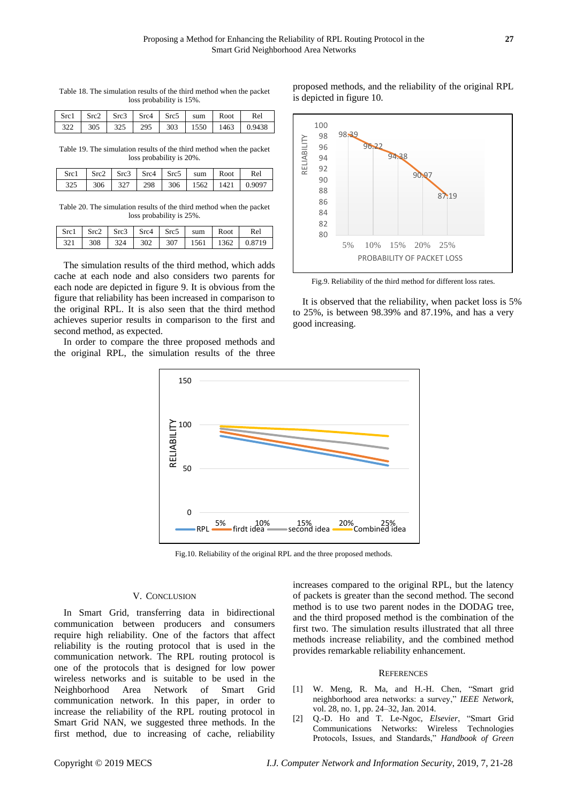|  | loss probability is 15%. |  |                                                                                                  | Table 18. The simulation results of the third method when the packet |
|--|--------------------------|--|--------------------------------------------------------------------------------------------------|----------------------------------------------------------------------|
|  |                          |  | $\text{Src1}$ $\text{Src2}$ $\text{Src3}$ $\text{Src4}$ $\text{Src5}$ $\text{sum}$ $\text{Root}$ | Rel                                                                  |

322 305 325 295 303 1550 1463 0.9438

Table 19. The simulation results of the third method when the packet loss probability is 20%.

| $\vert$ Src1 $\vert$ Src2 $\vert$ Src3 $\vert$ Src4 $\vert$ Src5 $\vert$ sum $\vert$ Root $\vert$ |  |  |  | Rel                                  |
|---------------------------------------------------------------------------------------------------|--|--|--|--------------------------------------|
|                                                                                                   |  |  |  | 325 306 327 298 306 1562 1421 0.9097 |

Table 20. The simulation results of the third method when the packet loss probability is 25%.

| Src1 Src2 Src3 Src4 Src5 sum Root Rel |  |  |  |
|---------------------------------------|--|--|--|
|                                       |  |  |  |

The simulation results of the third method, which adds cache at each node and also considers two parents for each node are depicted in figure 9. It is obvious from the figure that reliability has been increased in comparison to the original RPL. It is also seen that the third method achieves superior results in comparison to the first and second method, as expected.

In order to compare the three proposed methods and the original RPL, the simulation results of the three





Fig.9. Reliability of the third method for different loss rates.

It is observed that the reliability, when packet loss is 5% to 25%, is between 98.39% and 87.19%, and has a very good increasing.



Fig.10. Reliability of the original RPL and the three proposed methods.

#### V. CONCLUSION

In Smart Grid, transferring data in bidirectional communication between producers and consumers require high reliability. One of the factors that affect reliability is the routing protocol that is used in the communication network. The RPL routing protocol is one of the protocols that is designed for low power wireless networks and is suitable to be used in the Neighborhood Area Network of Smart Grid communication network. In this paper, in order to increase the reliability of the RPL routing protocol in Smart Grid NAN, we suggested three methods. In the first method, due to increasing of cache, reliability

increases compared to the original RPL, but the latency of packets is greater than the second method. The second method is to use two parent nodes in the DODAG tree, and the third proposed method is the combination of the first two. The simulation results illustrated that all three methods increase reliability, and the combined method provides remarkable reliability enhancement.

#### **REFERENCES**

- [1] W. Meng, R. Ma, and H.-H. Chen, "Smart grid neighborhood area networks: a survey," IEEE Network, vol. 28, no. 1, pp. 24–32, Jan. 2014.
- [2] Q.-D. Ho and T. Le-Ngoc, *Elsevier*, "Smart Grid Communications Networks: Wireless Technologies Protocols, Issues, and Standards," *Handbook of Green*